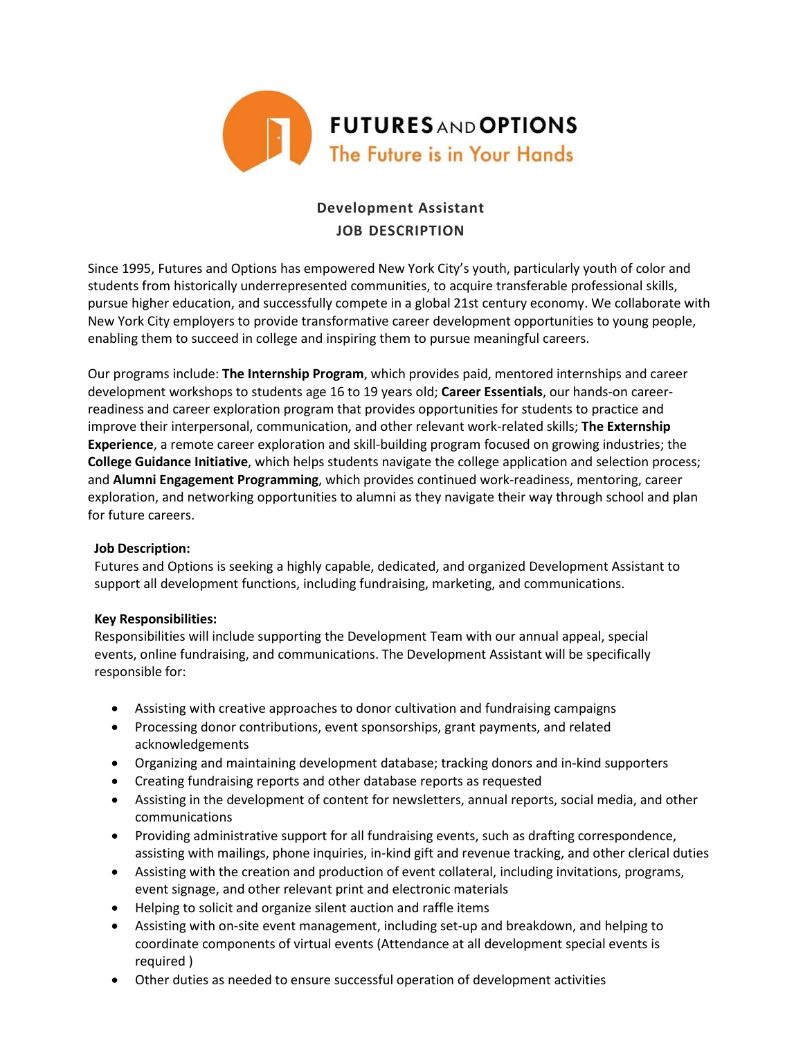

# **Development Assistant JOB DESCRIPTION**

Since 1995, Futures and Options has empowered New York City's youth, particularly youth of color and students from historically underrepresented communities, to acquire transferable professional skills, pursue higher education, and successfully compete in a global 21st century economy. We collaborate with New York City employers to provide transformative career development opportunities to young people, enabling them to succeed in college and inspiring them to pursue meaningful careers.

Our programs include: **The Internship Program**, which provides paid, mentored internships and career development workshops to students age 16 to 19 years old; **Career Essentials**, our hands-on careerreadiness and career exploration program that provides opportunities for students to practice and improve their interpersonal, communication, and other relevant work-related skills; **The Externship Experience**, a remote career exploration and skill-building program focused on growing industries; the **College Guidance Initiative**, which helps students navigate the college application and selection process; and **Alumni Engagement Programming**, which provides continued work-readiness, mentoring, career exploration, and networking opportunities to alumni as they navigate their way through school and plan for future careers.

# **Job Description:**

Futures and Options is seeking a highly capable, dedicated, and organized Development Assistant to support all development functions, including fundraising, marketing, and communications.

# **Key Responsibilities:**

Responsibilities will include supporting the Development Team with our annual appeal, special events, online fundraising, and communications. The Development Assistant will be specifically responsible for:

- Assisting with creative approaches to donor cultivation and fundraising campaigns
- Processing donor contributions, event sponsorships, grant payments, and related acknowledgements
- Organizing and maintaining development database; tracking donors and in-kind supporters
- Creating fundraising reports and other database reports as requested
- Assisting in the development of content for newsletters, annual reports, social media, and other communications
- Providing administrative support for all fundraising events, such as drafting correspondence, assisting with mailings, phone inquiries, in-kind gift and revenue tracking, and other clerical duties
- Assisting with the creation and production of event collateral, including invitations, programs, event signage, and other relevant print and electronic materials
- Helping to solicit and organize silent auction and raffle items
- Assisting with on-site event management, including set-up and breakdown, and helping to coordinate components of virtual events (Attendance at all development special events is required )
- Other duties as needed to ensure successful operation of development activities